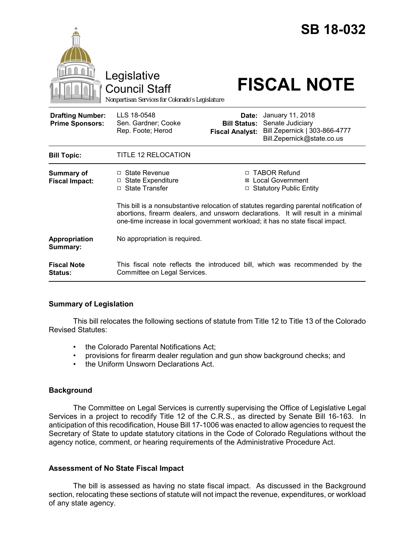

This bill is a nonsubstantive relocation of statutes regarding parental notification of abortions, firearm dealers, and unsworn declarations. It will result in a minimal one-time increase in local government workload; it has no state fiscal impact.

| <b>Appropriation</b><br>Summary: | No appropriation is required.                                               |
|----------------------------------|-----------------------------------------------------------------------------|
| <b>Fiscal Note</b>               | This fiscal note reflects the introduced bill, which was recommended by the |
| <b>Status:</b>                   | Committee on Legal Services.                                                |

#### **Summary of Legislation**

This bill relocates the following sections of statute from Title 12 to Title 13 of the Colorado Revised Statutes:

- the Colorado Parental Notifications Act;
- provisions for firearm dealer regulation and gun show background checks; and
- the Uniform Unsworn Declarations Act.

# **Background**

The Committee on Legal Services is currently supervising the Office of Legislative Legal Services in a project to recodify Title 12 of the C.R.S., as directed by Senate Bill 16-163. In anticipation of this recodification, House Bill 17-1006 was enacted to allow agencies to request the Secretary of State to update statutory citations in the Code of Colorado Regulations without the agency notice, comment, or hearing requirements of the Administrative Procedure Act.

# **Assessment of No State Fiscal Impact**

The bill is assessed as having no state fiscal impact. As discussed in the Background section, relocating these sections of statute will not impact the revenue, expenditures, or workload of any state agency.